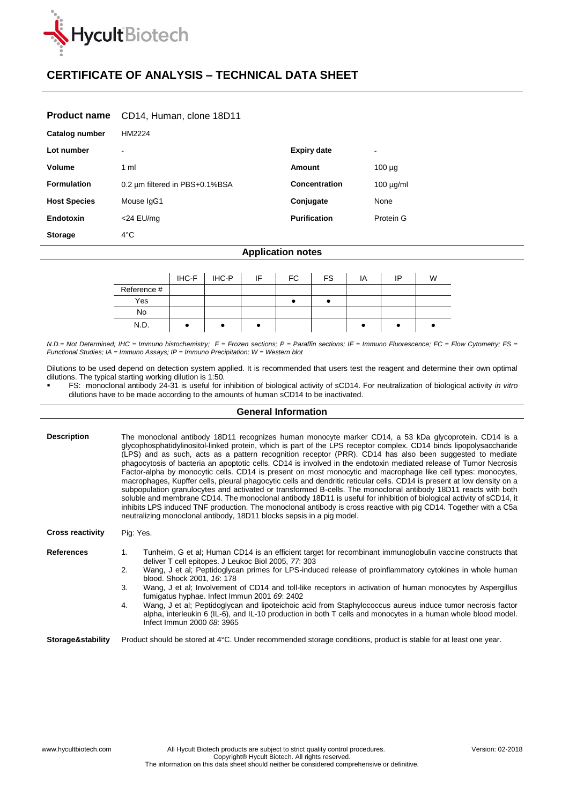

# **CERTIFICATE OF ANALYSIS – TECHNICAL DATA SHEET**

### **Product name** CD14, Human, clone 18D11

| Catalog number      | HM2224                         |                      |                |
|---------------------|--------------------------------|----------------------|----------------|
| Lot number          | $\blacksquare$                 | <b>Expiry date</b>   | ۰              |
| Volume              | 1 ml                           | <b>Amount</b>        | $100 \mu g$    |
| <b>Formulation</b>  | 0.2 um filtered in PBS+0.1%BSA | <b>Concentration</b> | $100 \mu g/ml$ |
| <b>Host Species</b> | Mouse IgG1                     | Conjugate            | None           |
| <b>Endotoxin</b>    | $<$ 24 EU/mg                   | <b>Purification</b>  | Protein G      |
| <b>Storage</b>      | $4^{\circ}$ C                  |                      |                |

#### **Application notes**

|             | IHC-F | IHC-P | -IF | FC | <b>FS</b> | IA | ID | W |
|-------------|-------|-------|-----|----|-----------|----|----|---|
| Reference # |       |       |     |    |           |    |    |   |
| Yes         |       |       |     |    |           |    |    |   |
| No          |       |       |     |    |           |    |    |   |
| N.D.        |       |       |     |    |           |    |    |   |

*N.D.= Not Determined; IHC = Immuno histochemistry; F = Frozen sections; P = Paraffin sections; IF = Immuno Fluorescence; FC = Flow Cytometry; FS = Functional Studies; IA = Immuno Assays; IP = Immuno Precipitation; W = Western blot*

Dilutions to be used depend on detection system applied. It is recommended that users test the reagent and determine their own optimal dilutions. The typical starting working dilution is 1:50.

 FS: monoclonal antibody 24-31 is useful for inhibition of biological activity of sCD14. For neutralization of biological activity *in vitro* dilutions have to be made according to the amounts of human sCD14 to be inactivated.

## **General Information**

| <b>Description</b>      | The monoclonal antibody 18D11 recognizes human monocyte marker CD14, a 53 kDa glycoprotein. CD14 is a<br>glycophosphatidylinositol-linked protein, which is part of the LPS receptor complex. CD14 binds lipopolysaccharide<br>(LPS) and as such, acts as a pattern recognition receptor (PRR). CD14 has also been suggested to mediate<br>phagocytosis of bacteria an apoptotic cells. CD14 is involved in the endotoxin mediated release of Tumor Necrosis<br>Factor-alpha by monocytic cells. CD14 is present on most monocytic and macrophage like cell types: monocytes,<br>macrophages, Kupffer cells, pleural phagocytic cells and dendritic reticular cells. CD14 is present at low density on a<br>subpopulation granulocytes and activated or transformed B-cells. The monoclonal antibody 18D11 reacts with both<br>soluble and membrane CD14. The monoclonal antibody 18D11 is useful for inhibition of biological activity of sCD14, it<br>inhibits LPS induced TNF production. The monoclonal antibody is cross reactive with pig CD14. Together with a C5a<br>neutralizing monoclonal antibody, 18D11 blocks sepsis in a pig model. |  |  |  |
|-------------------------|----------------------------------------------------------------------------------------------------------------------------------------------------------------------------------------------------------------------------------------------------------------------------------------------------------------------------------------------------------------------------------------------------------------------------------------------------------------------------------------------------------------------------------------------------------------------------------------------------------------------------------------------------------------------------------------------------------------------------------------------------------------------------------------------------------------------------------------------------------------------------------------------------------------------------------------------------------------------------------------------------------------------------------------------------------------------------------------------------------------------------------------------------|--|--|--|
| <b>Cross reactivity</b> | Pig: Yes.                                                                                                                                                                                                                                                                                                                                                                                                                                                                                                                                                                                                                                                                                                                                                                                                                                                                                                                                                                                                                                                                                                                                          |  |  |  |
| <b>References</b>       | Tunheim, G et al; Human CD14 is an efficient target for recombinant immunoglobulin vaccine constructs that<br>$\mathbf{1}$ .<br>deliver T cell epitopes. J Leukoc Biol 2005, 77: 303<br>Wang, J et al; Peptidoglycan primes for LPS-induced release of proinflammatory cytokines in whole human<br>2.<br>blood, Shock 2001, 16: 178<br>3.<br>Wang, J et al; Involvement of CD14 and toll-like receptors in activation of human monocytes by Aspergillus<br>fumigatus hyphae. Infect Immun 2001 69: 2402<br>Wang, J et al; Peptidoglycan and lipoteichoic acid from Staphylococcus aureus induce tumor necrosis factor<br>4.<br>alpha, interleukin 6 (IL-6), and IL-10 production in both T cells and monocytes in a human whole blood model.<br>Infect Immun 2000 68: 3965                                                                                                                                                                                                                                                                                                                                                                         |  |  |  |
| Storage&stability       | Product should be stored at 4°C. Under recommended storage conditions, product is stable for at least one year.                                                                                                                                                                                                                                                                                                                                                                                                                                                                                                                                                                                                                                                                                                                                                                                                                                                                                                                                                                                                                                    |  |  |  |